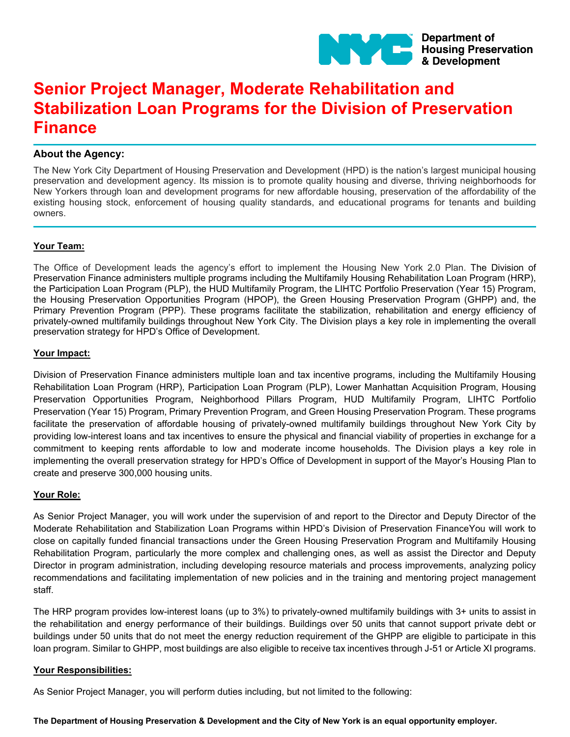

# **Senior Project Manager, Moderate Rehabilitation and Stabilization Loan Programs for the Division of Preservation Finance**

# **About the Agency:**

The New York City Department of Housing Preservation and Development (HPD) is the nation's largest municipal housing preservation and development agency. Its mission is to promote quality housing and diverse, thriving neighborhoods for New Yorkers through loan and development programs for new affordable housing, preservation of the affordability of the existing housing stock, enforcement of housing quality standards, and educational programs for tenants and building owners.

## **Your Team:**

The Office of Development leads the agency's effort to implement the Housing New York 2.0 Plan. The Division of Preservation Finance administers multiple programs including the Multifamily Housing Rehabilitation Loan Program (HRP), the Participation Loan Program (PLP), the HUD Multifamily Program, the LIHTC Portfolio Preservation (Year 15) Program, the Housing Preservation Opportunities Program (HPOP), the Green Housing Preservation Program (GHPP) and, the Primary Prevention Program (PPP). These programs facilitate the stabilization, rehabilitation and energy efficiency of privately-owned multifamily buildings throughout New York City. The Division plays a key role in implementing the overall preservation strategy for HPD's Office of Development.

## **Your Impact:**

Division of Preservation Finance administers multiple loan and tax incentive programs, including the Multifamily Housing Rehabilitation Loan Program (HRP), Participation Loan Program (PLP), Lower Manhattan Acquisition Program, Housing Preservation Opportunities Program, Neighborhood Pillars Program, HUD Multifamily Program, LIHTC Portfolio Preservation (Year 15) Program, Primary Prevention Program, and Green Housing Preservation Program. These programs facilitate the preservation of affordable housing of privately-owned multifamily buildings throughout New York City by providing low-interest loans and tax incentives to ensure the physical and financial viability of properties in exchange for a commitment to keeping rents affordable to low and moderate income households. The Division plays a key role in implementing the overall preservation strategy for HPD's Office of Development in support of the Mayor's Housing Plan to create and preserve 300,000 housing units.

# **Your Role:**

As Senior Project Manager, you will work under the supervision of and report to the Director and Deputy Director of the Moderate Rehabilitation and Stabilization Loan Programs within HPD's Division of Preservation FinanceYou will work to close on capitally funded financial transactions under the Green Housing Preservation Program and Multifamily Housing Rehabilitation Program, particularly the more complex and challenging ones, as well as assist the Director and Deputy Director in program administration, including developing resource materials and process improvements, analyzing policy recommendations and facilitating implementation of new policies and in the training and mentoring project management staff.

The HRP program provides low-interest loans (up to 3%) to privately-owned multifamily buildings with 3+ units to assist in the rehabilitation and energy performance of their buildings. Buildings over 50 units that cannot support private debt or buildings under 50 units that do not meet the energy reduction requirement of the GHPP are eligible to participate in this loan program. Similar to GHPP, most buildings are also eligible to receive tax incentives through J-51 or Article XI programs.

#### **Your Responsibilities:**

As Senior Project Manager, you will perform duties including, but not limited to the following:

**The Department of Housing Preservation & Development and the City of New York is an equal opportunity employer.**